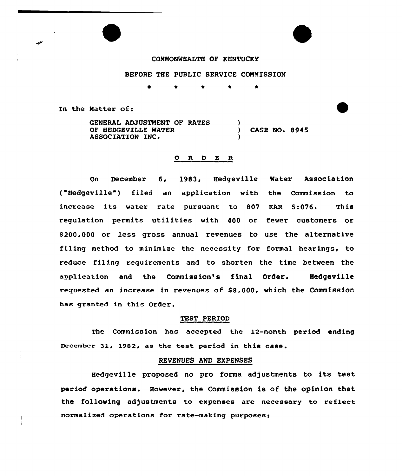### COMMONWEALTH OF KENTUCKY

### BEFORE THE PUBLIC SERVICE COMMISSION

<sup>0</sup> \* \* \* \*

In the Hatter of:

s

GENERAL ADJUSTMENT OF RATES OF HEDGEVILLE WATER (ASE NO. 8945)<br>ASSOCIATION INC. )

### O R D E R

On December 6, 1983, Hedgeville Water Association ("Hedgeville") filed an application with the Commission to increase its water rate pursuant to 807 KAR 5:076. This regulation permits utilities with 400 or fewer customers or \$ 200,000 or less gross annual revenues to use the alternative filing method to minimize the necessity for formal hearings, to reduce filing requirements and to shorten the time between the application and the Commission's final Order. Hedgeville requested an increase in revenues of \$8,000, which the Commission has granted in this Order.

#### TEST PERIOD

The Commission has accepted the 12-month period ending December 31, 1982, as the test period in this case.

#### REVENUES AND EXPENSES

Hedgeville proposed no pro forma adjustments to its test period operations. However, the Commission is of the opinion that the following adjustments to expenses are necessary to reflect normalized operations for rate-making purposes: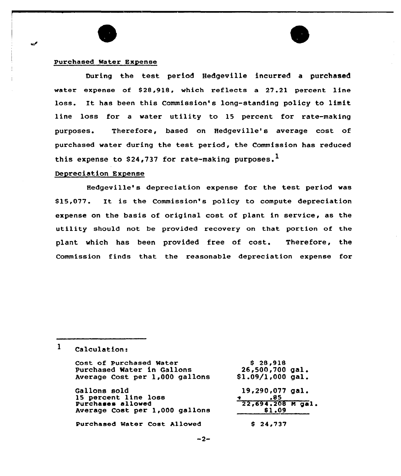### Purchased Water Expense

During the test period Hedgeville incurred a purchased water expense of \$28,918, which reflects a 27.21 percent line loss. It has been this Commission's long-standing policy to limit line loss for a water utility to 15 percent for rate-making purposes. Therefore, based on Hedgeville's average cost of purchased water during the test period, the Commission has reduced this expense to \$24,737 for rate-making purposes.<sup>1</sup>

### Depreciation Expense

Hedgeville' depreciation expense for the test period was \$ 15,077. It is the Commission's policy to compute depreciation expense on the basis of original cost of plant in service, as the utility should not be provided recovery on that portion of the plant which has been provided free of cost. Therefore, the Commission finds that the reasonable depreciation expense for

 $\mathbf{1}$ Calculation:

| Cost of Purchased Water        | \$28,918            |
|--------------------------------|---------------------|
| Purchased Water in Gallons     | $26,500,700$ gal.   |
| Average Cost per 1,000 gallons | $$1.09/1,000$ gal.  |
| <b>Gallons sold</b>            | 19,290,077 gal.     |
| 15 percent line loss           | .85                 |
| Purchases allowed              | $22,694.208$ M gal. |
| Average Cost per 1,000 gallons | \$1.09              |
| Purchased Water Cost Allowed   | \$24,737            |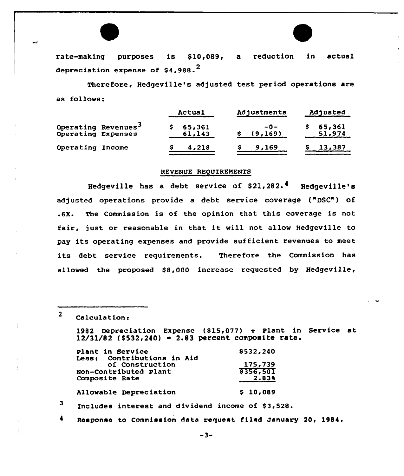

rate-making purposes is \$10,089, a reduction in actual depreciation expense of  $$4.988.^2$ 

Therefore, Hedgeville's adjusted test period operations are as follows:

|                    |                                 | Actual           | Adjustments    | Adjusted         |
|--------------------|---------------------------------|------------------|----------------|------------------|
| Operating Expenses | Operating Revenues <sup>3</sup> | 65,361<br>61,143 | աՕ—<br>(9,169) | 65,361<br>51,974 |
| Operating Income   |                                 | 4,218            | 9,169          | 13,387           |

### REVENUE REQUIREMENTS

Hedgeville has a debt service of  $$21,282.^4$  Hedgeville's adjusted operations provide a debt service coverage ("DSC") of <sup>~</sup> 6X. The Commission is of the opinion that this coverage is not fair, just or reasonable in that it will not allow Hedgeville to pay its operating expenses and provide sufficient revenues to meet its debt service requirements. Therefore the Commission has allowed the proposed \$8,000 increase requested by Hedgeville,

 $2$  Calculation:

1982 Depreciation Expense (\$15,077)  $\div$  Plant in Service at  $12/31/82$  (\$532,240) = 2.83 percent composite rate.

| Plant in Service<br>Less: Contributions in Aid | \$532,240 |
|------------------------------------------------|-----------|
| of Construction                                | 175,739   |
| Non-Contributed Plant                          | 5356,501  |
| Composite Rate                                 | 2.838     |
| Allowable Depreciation                         | \$10,089  |

3 Includes interest and dividend income of \$3,528.

Response to Commission data request filed January 20, 1984.

 $-3-$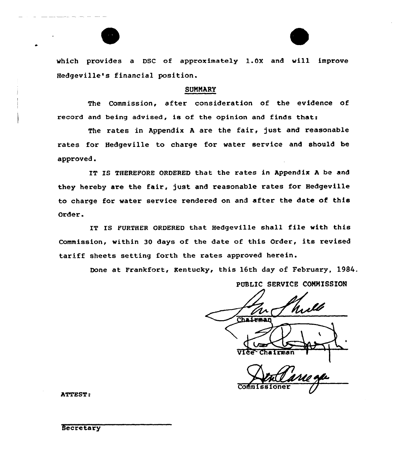which provides <sup>a</sup> DSC of approximately l.Ox and will improve Hedgeville's financial position.

### SUNNARY

The Commission, after consideration of the evidence of record and being advised, is of the opinion and finds thats

The rates in Appendix <sup>A</sup> are the fair, just and reasonable rates for Hedgeville to charge for water service and should be approved.

IT IS THEREFORE ORDERED that the rates in Appendix <sup>A</sup> be and they hereby are the fair, just and reasonable rates for Hedgeville to charge for water service rendered on and after the date of this Order.

IT IS FURTHER ORDERED that Hedgeville shall file with this Commission, within <sup>30</sup> days of the date of this Order, its revised tariff sheets setting forth the rates approved herein.

Done at Frankfort, Rentucky, this 16th day of February, 1984.

# PUBLIC SERVICE COMNISSION

Chairman VIce Chairman

Co

ATTEST:

**Secretary**